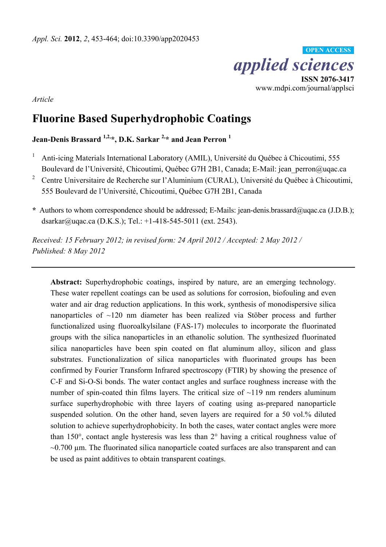

*Article* 

# **Fluorine Based Superhydrophobic Coatings**

**Jean-Denis Brassard 1,2,\*, D.K. Sarkar 2,\* and Jean Perron 1**

- 1 Anti-icing Materials International Laboratory (AMIL), Université du Québec à Chicoutimi, 555 Boulevard de l'Université, Chicoutimi, Québec G7H 2B1, Canada; E-Mail: jean perron@uqac.ca
- 2 Centre Universitaire de Recherche sur l'Aluminium (CURAL), Université du Québec à Chicoutimi, 555 Boulevard de l'Université, Chicoutimi, Québec G7H 2B1, Canada
- **\*** Authors to whom correspondence should be addressed; E-Mails: jean-denis.brassard@uqac.ca (J.D.B.); dsarkar@uqac.ca (D.K.S.); Tel.: +1-418-545-5011 (ext. 2543).

*Received: 15 February 2012; in revised form: 24 April 2012 / Accepted: 2 May 2012 / Published: 8 May 2012* 

**Abstract:** Superhydrophobic coatings, inspired by nature, are an emerging technology. These water repellent coatings can be used as solutions for corrosion, biofouling and even water and air drag reduction applications. In this work, synthesis of monodispersive silica nanoparticles of ~120 nm diameter has been realized via Stöber process and further functionalized using fluoroalkylsilane (FAS-17) molecules to incorporate the fluorinated groups with the silica nanoparticles in an ethanolic solution. The synthesized fluorinated silica nanoparticles have been spin coated on flat aluminum alloy, silicon and glass substrates. Functionalization of silica nanoparticles with fluorinated groups has been confirmed by Fourier Transform Infrared spectroscopy (FTIR) by showing the presence of C-F and Si-O-Si bonds. The water contact angles and surface roughness increase with the number of spin-coated thin films layers. The critical size of  $\sim$ 119 nm renders aluminum surface superhydrophobic with three layers of coating using as-prepared nanoparticle suspended solution. On the other hand, seven layers are required for a 50 vol.% diluted solution to achieve superhydrophobicity. In both the cases, water contact angles were more than 150°, contact angle hysteresis was less than 2° having a critical roughness value of  $\sim$ 0.700  $\mu$ m. The fluorinated silica nanoparticle coated surfaces are also transparent and can be used as paint additives to obtain transparent coatings.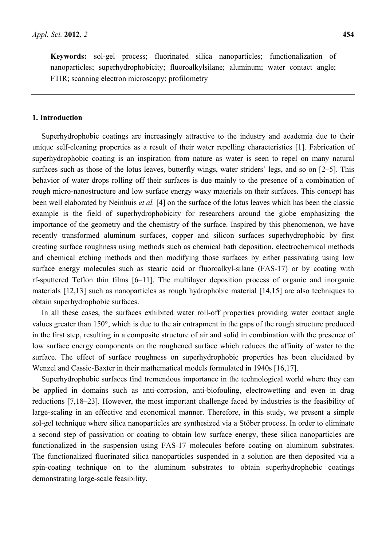**Keywords:** sol-gel process; fluorinated silica nanoparticles; functionalization of nanoparticles; superhydrophobicity; fluoroalkylsilane; aluminum; water contact angle; FTIR; scanning electron microscopy; profilometry

### **1. Introduction**

Superhydrophobic coatings are increasingly attractive to the industry and academia due to their unique self-cleaning properties as a result of their water repelling characteristics [1]. Fabrication of superhydrophobic coating is an inspiration from nature as water is seen to repel on many natural surfaces such as those of the lotus leaves, butterfly wings, water striders' legs, and so on [2–5]. This behavior of water drops rolling off their surfaces is due mainly to the presence of a combination of rough micro-nanostructure and low surface energy waxy materials on their surfaces. This concept has been well elaborated by Neinhuis *et al.* [4] on the surface of the lotus leaves which has been the classic example is the field of superhydrophobicity for researchers around the globe emphasizing the importance of the geometry and the chemistry of the surface. Inspired by this phenomenon, we have recently transformed aluminum surfaces, copper and silicon surfaces superhydrophobic by first creating surface roughness using methods such as chemical bath deposition, electrochemical methods and chemical etching methods and then modifying those surfaces by either passivating using low surface energy molecules such as stearic acid or fluoroalkyl-silane (FAS-17) or by coating with rf-sputtered Teflon thin films [6–11]. The multilayer deposition process of organic and inorganic materials [12,13] such as nanoparticles as rough hydrophobic material [14,15] are also techniques to obtain superhydrophobic surfaces.

In all these cases, the surfaces exhibited water roll-off properties providing water contact angle values greater than 150°, which is due to the air entrapment in the gaps of the rough structure produced in the first step, resulting in a composite structure of air and solid in combination with the presence of low surface energy components on the roughened surface which reduces the affinity of water to the surface. The effect of surface roughness on superhydrophobic properties has been elucidated by Wenzel and Cassie-Baxter in their mathematical models formulated in 1940s [16,17].

Superhydrophobic surfaces find tremendous importance in the technological world where they can be applied in domains such as anti-corrosion, anti-biofouling, electrowetting and even in drag reductions [7,18–23]. However, the most important challenge faced by industries is the feasibility of large-scaling in an effective and economical manner. Therefore, in this study, we present a simple sol-gel technique where silica nanoparticles are synthesized via a Stöber process. In order to eliminate a second step of passivation or coating to obtain low surface energy, these silica nanoparticles are functionalized in the suspension using FAS-17 molecules before coating on aluminum substrates. The functionalized fluorinated silica nanoparticles suspended in a solution are then deposited via a spin-coating technique on to the aluminum substrates to obtain superhydrophobic coatings demonstrating large-scale feasibility.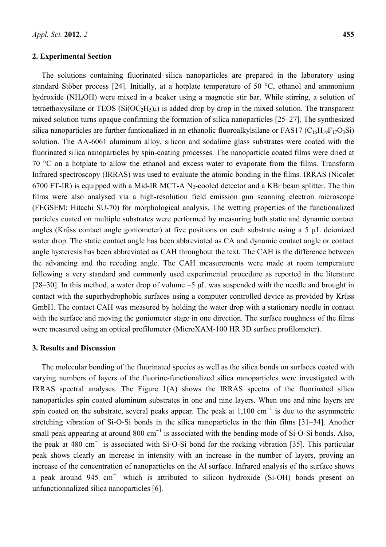#### **2. Experimental Section**

The solutions containing fluorinated silica nanoparticles are prepared in the laboratory using standard Stöber process [24]. Initially, at a hotplate temperature of 50 °C, ethanol and ammonium hydroxide (NH4OH) were mixed in a beaker using a magnetic stir bar. While stirring, a solution of tetraethoxysilane or TEOS  $(Si(OC<sub>2</sub>H<sub>5</sub>)<sub>4</sub>)$  is added drop by drop in the mixed solution. The transparent mixed solution turns opaque confirming the formation of silica nanoparticles [25–27]. The synthesized silica nanoparticles are further funtionalized in an ethanolic fluoroalkylsilane or FAS17 ( $C_{16}H_{19}F_{17}O_3Si$ ) solution. The AA-6061 aluminum alloy, silicon and sodalime glass substrates were coated with the fluorinated silica nanoparticles by spin-coating processes. The nanoparticle coated films were dried at 70 °C on a hotplate to allow the ethanol and excess water to evaporate from the films. Transform Infrared spectroscopy (IRRAS) was used to evaluate the atomic bonding in the films. IRRAS (Nicolet 6700 FT-IR) is equipped with a Mid-IR MCT-A  $N_2$ -cooled detector and a KBr beam splitter. The thin films were also analysed via a high-resolution field emission gun scanning electron microscope (FEGSEM: Hitachi SU-70) for morphological analysis. The wetting properties of the functionalized particles coated on multiple substrates were performed by measuring both static and dynamic contact angles (Krüss contact angle goniometer) at five positions on each substrate using a 5 µL deionized water drop. The static contact angle has been abbreviated as CA and dynamic contact angle or contact angle hysteresis has been abbreviated as CAH throughout the text. The CAH is the difference between the advancing and the receding angle. The CAH measurements were made at room temperature following a very standard and commonly used experimental procedure as reported in the literature [28–30]. In this method, a water drop of volume  $\sim$ 5  $\mu$ L was suspended with the needle and brought in contact with the superhydrophobic surfaces using a computer controlled device as provided by Krüss GmbH. The contact CAH was measured by holding the water drop with a stationary needle in contact with the surface and moving the goniometer stage in one direction. The surface roughness of the films were measured using an optical profilometer (MicroXAM-100 HR 3D surface profilometer).

#### **3. Results and Discussion**

The molecular bonding of the fluorinated species as well as the silica bonds on surfaces coated with varying numbers of layers of the fluorine-functionalized silica nanoparticles were investigated with IRRAS spectral analyses. The Figure 1(A) shows the IRRAS spectra of the fluorinated silica nanoparticles spin coated aluminum substrates in one and nine layers. When one and nine layers are spin coated on the substrate, several peaks appear. The peak at  $1,100 \text{ cm}^{-1}$  is due to the asymmetric stretching vibration of Si-O-Si bonds in the silica nanoparticles in the thin films [31–34]. Another small peak appearing at around 800  $cm^{-1}$  is associated with the bending mode of Si-O-Si bonds. Also, the peak at 480 cm<sup>-1</sup> is associated with Si-O-Si bond for the rocking vibration [35]. This particular peak shows clearly an increase in intensity with an increase in the number of layers, proving an increase of the concentration of nanoparticles on the Al surface. Infrared analysis of the surface shows a peak around 945 cm<sup>-1</sup> which is attributed to silicon hydroxide (Si-OH) bonds present on unfunctionnalized silica nanoparticles [6].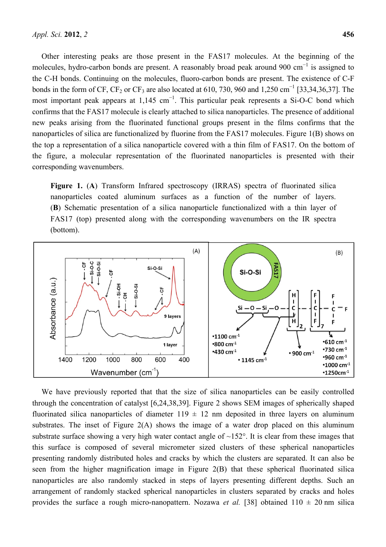Other interesting peaks are those present in the FAS17 molecules. At the beginning of the molecules, hydro-carbon bonds are present. A reasonably broad peak around 900 cm<sup>-1</sup> is assigned to the C-H bonds. Continuing on the molecules, fluoro-carbon bonds are present. The existence of C-F bonds in the form of CF, CF<sub>2</sub> or CF<sub>3</sub> are also located at 610, 730, 960 and 1,250 cm<sup>-1</sup> [33,34,36,37]. The most important peak appears at 1,145 cm<sup>-1</sup>. This particular peak represents a Si-O-C bond which confirms that the FAS17 molecule is clearly attached to silica nanoparticles. The presence of additional new peaks arising from the fluorinated functional groups present in the films confirms that the nanoparticles of silica are functionalized by fluorine from the FAS17 molecules. Figure 1(B) shows on the top a representation of a silica nanoparticle covered with a thin film of FAS17. On the bottom of the figure, a molecular representation of the fluorinated nanoparticles is presented with their corresponding wavenumbers.

Figure 1. (A) Transform Infrared spectroscopy (IRRAS) spectra of fluorinated silica nanoparticles coated aluminum surfaces as a function of the number of layers. (**B**) Schematic presentation of a silica nanoparticle functionalized with a thin layer of FAS17 (top) presented along with the corresponding wavenumbers on the IR spectra (bottom).



We have previously reported that that the size of silica nanoparticles can be easily controlled through the concentration of catalyst [6,24,38,39]. Figure 2 shows SEM images of spherically shaped fluorinated silica nanoparticles of diameter  $119 \pm 12$  nm deposited in three layers on aluminum substrates. The inset of Figure 2(A) shows the image of a water drop placed on this aluminum substrate surface showing a very high water contact angle of ~152°. It is clear from these images that this surface is composed of several micrometer sized clusters of these spherical nanoparticles presenting randomly distributed holes and cracks by which the clusters are separated. It can also be seen from the higher magnification image in Figure 2(B) that these spherical fluorinated silica nanoparticles are also randomly stacked in steps of layers presenting different depths. Such an arrangement of randomly stacked spherical nanoparticles in clusters separated by cracks and holes provides the surface a rough micro-nanopattern. Nozawa *et al.* [38] obtained  $110 \pm 20$  nm silica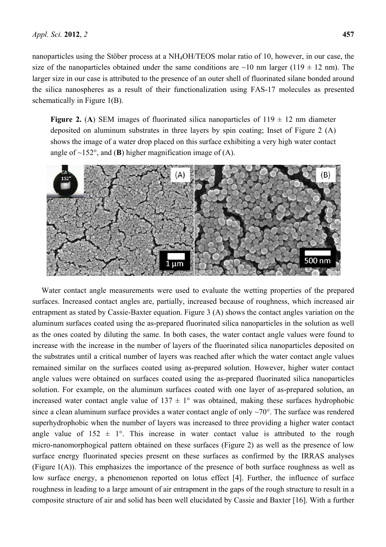nanoparticles using the Stöber process at a NH4OH/TEOS molar ratio of 10, however, in our case, the size of the nanoparticles obtained under the same conditions are  $\sim$ 10 nm larger (119  $\pm$  12 nm). The larger size in our case is attributed to the presence of an outer shell of fluorinated silane bonded around the silica nanospheres as a result of their functionalization using FAS-17 molecules as presented schematically in Figure 1(B).

**Figure 2.** (A) SEM images of fluorinated silica nanoparticles of  $119 \pm 12$  nm diameter deposited on aluminum substrates in three layers by spin coating; Inset of Figure 2 (A) shows the image of a water drop placed on this surface exhibiting a very high water contact angle of  $\sim$ 152°, and (**B**) higher magnification image of (A).



Water contact angle measurements were used to evaluate the wetting properties of the prepared surfaces. Increased contact angles are, partially, increased because of roughness, which increased air entrapment as stated by Cassie-Baxter equation. Figure 3 (A) shows the contact angles variation on the aluminum surfaces coated using the as-prepared fluorinated silica nanoparticles in the solution as well as the ones coated by diluting the same. In both cases, the water contact angle values were found to increase with the increase in the number of layers of the fluorinated silica nanoparticles deposited on the substrates until a critical number of layers was reached after which the water contact angle values remained similar on the surfaces coated using as-prepared solution. However, higher water contact angle values were obtained on surfaces coated using the as-prepared fluorinated silica nanoparticles solution. For example, on the aluminum surfaces coated with one layer of as-prepared solution, an increased water contact angle value of  $137 \pm 1^{\circ}$  was obtained, making these surfaces hydrophobic since a clean aluminum surface provides a water contact angle of only  $\sim$ 70°. The surface was rendered superhydrophobic when the number of layers was increased to three providing a higher water contact angle value of  $152 \pm 1^{\circ}$ . This increase in water contact value is attributed to the rough micro-nanomorphogical pattern obtained on these surfaces (Figure 2) as well as the presence of low surface energy fluorinated species present on these surfaces as confirmed by the IRRAS analyses (Figure 1(A)). This emphasizes the importance of the presence of both surface roughness as well as low surface energy, a phenomenon reported on lotus effect [4]. Further, the influence of surface roughness in leading to a large amount of air entrapment in the gaps of the rough structure to result in a composite structure of air and solid has been well elucidated by Cassie and Baxter [16]. With a further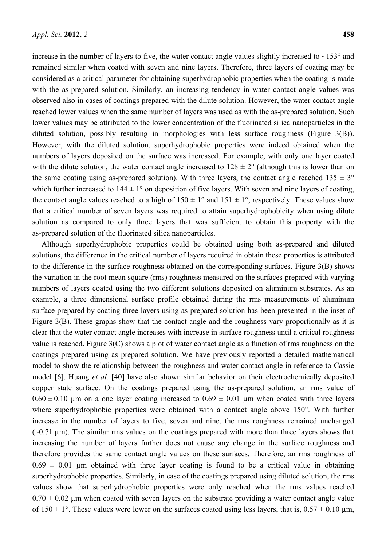increase in the number of layers to five, the water contact angle values slightly increased to  $\sim 153^\circ$  and remained similar when coated with seven and nine layers. Therefore, three layers of coating may be considered as a critical parameter for obtaining superhydrophobic properties when the coating is made with the as-prepared solution. Similarly, an increasing tendency in water contact angle values was observed also in cases of coatings prepared with the dilute solution. However, the water contact angle reached lower values when the same number of layers was used as with the as-prepared solution. Such lower values may be attributed to the lower concentration of the fluorinated silica nanoparticles in the diluted solution, possibly resulting in morphologies with less surface roughness (Figure 3(B)). However, with the diluted solution, superhydrophobic properties were indeed obtained when the numbers of layers deposited on the surface was increased. For example, with only one layer coated with the dilute solution, the water contact angle increased to  $128 \pm 2^{\circ}$  (although this is lower than on the same coating using as-prepared solution). With three layers, the contact angle reached  $135 \pm 3^{\circ}$ which further increased to  $144 \pm 1^{\circ}$  on deposition of five layers. With seven and nine layers of coating, the contact angle values reached to a high of  $150 \pm 1^{\circ}$  and  $151 \pm 1^{\circ}$ , respectively. These values show that a critical number of seven layers was required to attain superhydrophobicity when using dilute solution as compared to only three layers that was sufficient to obtain this property with the as-prepared solution of the fluorinated silica nanoparticles.

Although superhydrophobic properties could be obtained using both as-prepared and diluted solutions, the difference in the critical number of layers required in obtain these properties is attributed to the difference in the surface roughness obtained on the corresponding surfaces. Figure 3(B) shows the variation in the root mean square (rms) roughness measured on the surfaces prepared with varying numbers of layers coated using the two different solutions deposited on aluminum substrates. As an example, a three dimensional surface profile obtained during the rms measurements of aluminum surface prepared by coating three layers using as prepared solution has been presented in the inset of Figure 3(B). These graphs show that the contact angle and the roughness vary proportionally as it is clear that the water contact angle increases with increase in surface roughness until a critical roughness value is reached. Figure 3(C) shows a plot of water contact angle as a function of rms roughness on the coatings prepared using as prepared solution. We have previously reported a detailed mathematical model to show the relationship between the roughness and water contact angle in reference to Cassie model [6]. Huang *et al.* [40] have also shown similar behavior on their electrochemically deposited copper state surface. On the coatings prepared using the as-prepared solution, an rms value of  $0.60 \pm 0.10$  µm on a one layer coating increased to  $0.69 \pm 0.01$  µm when coated with three layers where superhydrophobic properties were obtained with a contact angle above 150°. With further increase in the number of layers to five, seven and nine, the rms roughness remained unchanged  $(-0.71 \text{ }\mu\text{m})$ . The similar rms values on the coatings prepared with more than three layers shows that increasing the number of layers further does not cause any change in the surface roughness and therefore provides the same contact angle values on these surfaces. Therefore, an rms roughness of  $0.69 \pm 0.01$  µm obtained with three layer coating is found to be a critical value in obtaining superhydrophobic properties. Similarly, in case of the coatings prepared using diluted solution, the rms values show that superhydrophobic properties were only reached when the rms values reached  $0.70 \pm 0.02$  µm when coated with seven layers on the substrate providing a water contact angle value of  $150 \pm 1^{\circ}$ . These values were lower on the surfaces coated using less layers, that is,  $0.57 \pm 0.10$  µm,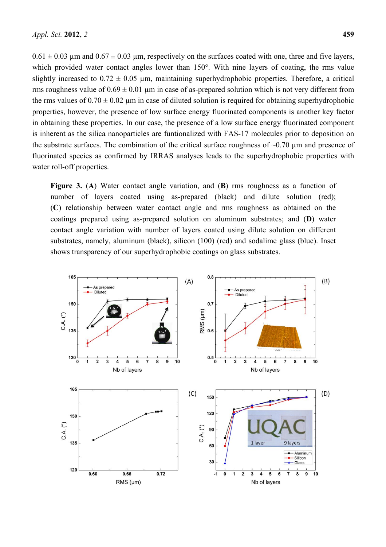$0.61 \pm 0.03$  µm and  $0.67 \pm 0.03$  µm, respectively on the surfaces coated with one, three and five layers, which provided water contact angles lower than 150°. With nine layers of coating, the rms value slightly increased to  $0.72 \pm 0.05$  µm, maintaining superhydrophobic properties. Therefore, a critical rms roughness value of  $0.69 \pm 0.01$  µm in case of as-prepared solution which is not very different from the rms values of  $0.70 \pm 0.02$  µm in case of diluted solution is required for obtaining superhydrophobic properties, however, the presence of low surface energy fluorinated components is another key factor in obtaining these properties. In our case, the presence of a low surface energy fluorinated component is inherent as the silica nanoparticles are funtionalized with FAS-17 molecules prior to deposition on the substrate surfaces. The combination of the critical surface roughness of  $\sim 0.70$  µm and presence of fluorinated species as confirmed by IRRAS analyses leads to the superhydrophobic properties with water roll-off properties.

**Figure 3.** (**A**) Water contact angle variation, and (**B**) rms roughness as a function of number of layers coated using as-prepared (black) and dilute solution (red); (**C**) relationship between water contact angle and rms roughness as obtained on the coatings prepared using as-prepared solution on aluminum substrates; and (**D**) water contact angle variation with number of layers coated using dilute solution on different substrates, namely, aluminum (black), silicon (100) (red) and sodalime glass (blue). Inset shows transparency of our superhydrophobic coatings on glass substrates.

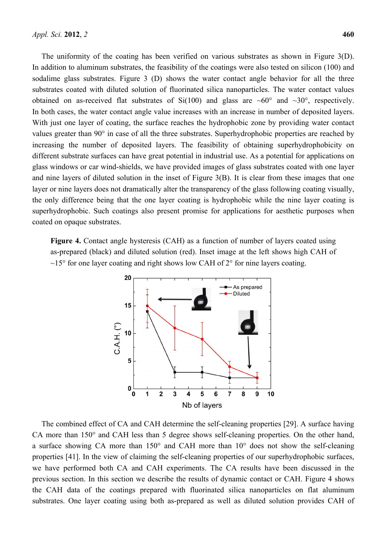The uniformity of the coating has been verified on various substrates as shown in Figure 3(D). In addition to aluminum substrates, the feasibility of the coatings were also tested on silicon (100) and sodalime glass substrates. Figure 3 (D) shows the water contact angle behavior for all the three substrates coated with diluted solution of fluorinated silica nanoparticles. The water contact values obtained on as-received flat substrates of  $Si(100)$  and glass are ~60° and ~30°, respectively. In both cases, the water contact angle value increases with an increase in number of deposited layers. With just one layer of coating, the surface reaches the hydrophobic zone by providing water contact values greater than 90° in case of all the three substrates. Superhydrophobic properties are reached by increasing the number of deposited layers. The feasibility of obtaining superhydrophobicity on different substrate surfaces can have great potential in industrial use. As a potential for applications on glass windows or car wind-shields, we have provided images of glass substrates coated with one layer and nine layers of diluted solution in the inset of Figure 3(B). It is clear from these images that one layer or nine layers does not dramatically alter the transparency of the glass following coating visually, the only difference being that the one layer coating is hydrophobic while the nine layer coating is superhydrophobic. Such coatings also present promise for applications for aesthetic purposes when coated on opaque substrates.

**Figure 4.** Contact angle hysteresis (CAH) as a function of number of layers coated using as-prepared (black) and diluted solution (red). Inset image at the left shows high CAH of  $\sim$ 15° for one layer coating and right shows low CAH of 2° for nine layers coating.



The combined effect of CA and CAH determine the self-cleaning properties [29]. A surface having CA more than 150° and CAH less than 5 degree shows self-cleaning properties. On the other hand, a surface showing CA more than 150° and CAH more than 10° does not show the self-cleaning properties [41]. In the view of claiming the self-cleaning properties of our superhydrophobic surfaces, we have performed both CA and CAH experiments. The CA results have been discussed in the previous section. In this section we describe the results of dynamic contact or CAH. Figure 4 shows the CAH data of the coatings prepared with fluorinated silica nanoparticles on flat aluminum substrates. One layer coating using both as-prepared as well as diluted solution provides CAH of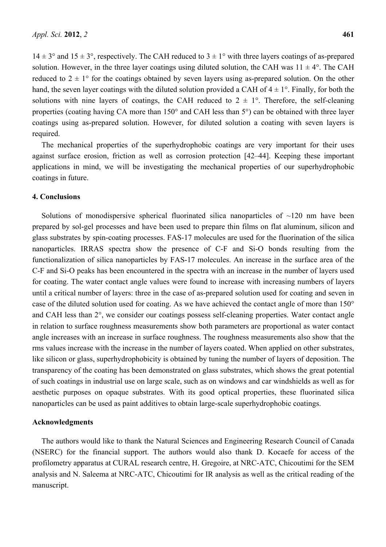$14 \pm 3^{\circ}$  and  $15 \pm 3^{\circ}$ , respectively. The CAH reduced to  $3 \pm 1^{\circ}$  with three layers coatings of as-prepared solution. However, in the three layer coatings using diluted solution, the CAH was  $11 \pm 4^{\circ}$ . The CAH reduced to  $2 \pm 1^{\circ}$  for the coatings obtained by seven layers using as-prepared solution. On the other hand, the seven layer coatings with the diluted solution provided a CAH of  $4 \pm 1^{\circ}$ . Finally, for both the solutions with nine layers of coatings, the CAH reduced to  $2 \pm 1^{\circ}$ . Therefore, the self-cleaning properties (coating having CA more than 150° and CAH less than 5°) can be obtained with three layer coatings using as-prepared solution. However, for diluted solution a coating with seven layers is required.

The mechanical properties of the superhydrophobic coatings are very important for their uses against surface erosion, friction as well as corrosion protection [42–44]. Keeping these important applications in mind, we will be investigating the mechanical properties of our superhydrophobic coatings in future.

#### **4. Conclusions**

Solutions of monodispersive spherical fluorinated silica nanoparticles of  $\sim$ 120 nm have been prepared by sol-gel processes and have been used to prepare thin films on flat aluminum, silicon and glass substrates by spin-coating processes. FAS-17 molecules are used for the fluorination of the silica nanoparticles. IRRAS spectra show the presence of C-F and Si-O bonds resulting from the functionalization of silica nanoparticles by FAS-17 molecules. An increase in the surface area of the C-F and Si-O peaks has been encountered in the spectra with an increase in the number of layers used for coating. The water contact angle values were found to increase with increasing numbers of layers until a critical number of layers: three in the case of as-prepared solution used for coating and seven in case of the diluted solution used for coating. As we have achieved the contact angle of more than 150° and CAH less than 2°, we consider our coatings possess self-cleaning properties. Water contact angle in relation to surface roughness measurements show both parameters are proportional as water contact angle increases with an increase in surface roughness. The roughness measurements also show that the rms values increase with the increase in the number of layers coated. When applied on other substrates, like silicon or glass, superhydrophobicity is obtained by tuning the number of layers of deposition. The transparency of the coating has been demonstrated on glass substrates, which shows the great potential of such coatings in industrial use on large scale, such as on windows and car windshields as well as for aesthetic purposes on opaque substrates. With its good optical properties, these fluorinated silica nanoparticles can be used as paint additives to obtain large-scale superhydrophobic coatings.

#### **Acknowledgments**

The authors would like to thank the Natural Sciences and Engineering Research Council of Canada (NSERC) for the financial support. The authors would also thank D. Kocaefe for access of the profilometry apparatus at CURAL research centre, H. Gregoire, at NRC-ATC, Chicoutimi for the SEM analysis and N. Saleema at NRC-ATC, Chicoutimi for IR analysis as well as the critical reading of the manuscript.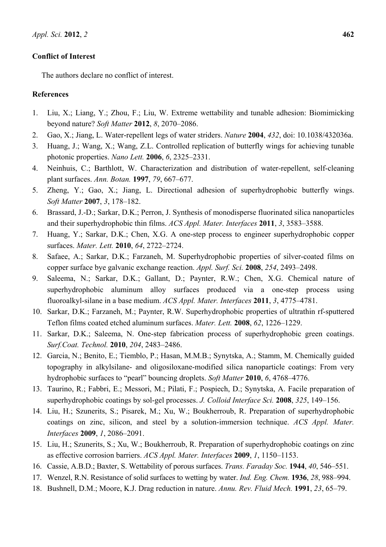## **Conflict of Interest**

The authors declare no conflict of interest.

## **References**

- 1. Liu, X.; Liang, Y.; Zhou, F.; Liu, W. Extreme wettability and tunable adhesion: Biomimicking beyond nature? *Soft Matter* **2012**, *8*, 2070–2086.
- 2. Gao, X.; Jiang, L. Water-repellent legs of water striders. *Nature* **2004**, *432*, doi: 10.1038/432036a.
- 3. Huang, J.; Wang, X.; Wang, Z.L. Controlled replication of butterfly wings for achieving tunable photonic properties. *Nano Lett.* **2006**, *6*, 2325–2331.
- 4. Neinhuis, C.; Barthlott, W. Characterization and distribution of water-repellent, self-cleaning plant surfaces. *Ann. Botan.* **1997**, *79*, 667–677.
- 5. Zheng, Y.; Gao, X.; Jiang, L. Directional adhesion of superhydrophobic butterfly wings. *Soft Matter* **2007**, *3*, 178–182.
- 6. Brassard, J.-D.; Sarkar, D.K.; Perron, J. Synthesis of monodisperse fluorinated silica nanoparticles and their superhydrophobic thin films. *ACS Appl. Mater. Interfaces* **2011**, *3*, 3583–3588.
- 7. Huang, Y.; Sarkar, D.K.; Chen, X.G. A one-step process to engineer superhydrophobic copper surfaces. *Mater. Lett.* **2010**, *64*, 2722–2724.
- 8. Safaee, A.; Sarkar, D.K.; Farzaneh, M. Superhydrophobic properties of silver-coated films on copper surface bye galvanic exchange reaction. *Appl. Surf. Sci.* **2008**, *254*, 2493–2498.
- 9. Saleema, N.; Sarkar, D.K.; Gallant, D.; Paynter, R.W.; Chen, X.G. Chemical nature of superhydrophobic aluminum alloy surfaces produced via a one-step process using fluoroalkyl-silane in a base medium. *ACS Appl. Mater. Interfaces* **2011**, *3*, 4775–4781.
- 10. Sarkar, D.K.; Farzaneh, M.; Paynter, R.W. Superhydrophobic properties of ultrathin rf-sputtered Teflon films coated etched aluminum surfaces. *Mater. Lett.* **2008**, *62*, 1226–1229.
- 11. Sarkar, D.K.; Saleema, N. One-step fabrication process of superhydrophobic green coatings. *Surf.Coat. Technol.* **2010**, *204*, 2483–2486.
- 12. Garcia, N.; Benito, E.; Tiemblo, P.; Hasan, M.M.B.; Synytska, A.; Stamm, M. Chemically guided topography in alkylsilane- and oligosiloxane-modified silica nanoparticle coatings: From very hydrophobic surfaces to "pearl" bouncing droplets. *Soft Matter* **2010**, *6*, 4768–4776.
- 13. Taurino, R.; Fabbri, E.; Messori, M.; Pilati, F.; Pospiech, D.; Synytska, A. Facile preparation of superhydrophobic coatings by sol-gel processes. *J. Colloid Interface Sci.* **2008**, *325*, 149–156.
- 14. Liu, H.; Szunerits, S.; Pisarek, M.; Xu, W.; Boukherroub, R. Preparation of superhydrophobic coatings on zinc, silicon, and steel by a solution-immersion technique. *ACS Appl. Mater. Interfaces* **2009**, *1*, 2086–2091.
- 15. Liu, H.; Szunerits, S.; Xu, W.; Boukherroub, R. Preparation of superhydrophobic coatings on zinc as effective corrosion barriers. *ACS Appl. Mater. Interfaces* **2009**, *1*, 1150–1153.
- 16. Cassie, A.B.D.; Baxter, S. Wettability of porous surfaces. *Trans. Faraday Soc.* **1944**, *40*, 546–551.
- 17. Wenzel, R.N. Resistance of solid surfaces to wetting by water. *Ind. Eng. Chem.* **1936**, *28*, 988–994.
- 18. Bushnell, D.M.; Moore, K.J. Drag reduction in nature. *Annu. Rev. Fluid Mech.* **1991**, *23*, 65–79.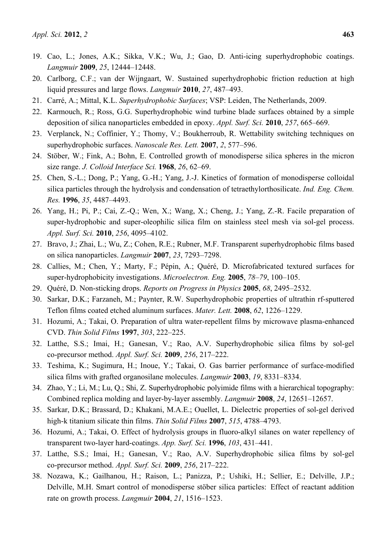- 19. Cao, L.; Jones, A.K.; Sikka, V.K.; Wu, J.; Gao, D. Anti-icing superhydrophobic coatings. *Langmuir* **2009**, *25*, 12444–12448.
- 20. Carlborg, C.F.; van der Wijngaart, W. Sustained superhydrophobic friction reduction at high liquid pressures and large flows. *Langmuir* **2010**, *27*, 487–493.
- 21. Carré, A.; Mittal, K.L. *Superhydrophobic Surfaces*; VSP: Leiden, The Netherlands, 2009.
- 22. Karmouch, R.; Ross, G.G. Superhydrophobic wind turbine blade surfaces obtained by a simple deposition of silica nanoparticles embedded in epoxy. *Appl. Surf. Sci.* **2010**, *257*, 665–669.
- 23. Verplanck, N.; Coffinier, Y.; Thomy, V.; Boukherroub, R. Wettability switching techniques on superhydrophobic surfaces. *Nanoscale Res. Lett.* **2007**, *2*, 577–596.
- 24. Stöber, W.; Fink, A.; Bohn, E. Controlled growth of monodisperse silica spheres in the micron size range. *J. Colloid Interface Sci.* **1968**, *26*, 62–69.
- 25. Chen, S.-L.; Dong, P.; Yang, G.-H.; Yang, J.-J. Kinetics of formation of monodisperse colloidal silica particles through the hydrolysis and condensation of tetraethylorthosilicate. *Ind. Eng. Chem. Res.* **1996**, *35*, 4487–4493.
- 26. Yang, H.; Pi, P.; Cai, Z.-Q.; Wen, X.; Wang, X.; Cheng, J.; Yang, Z.-R. Facile preparation of super-hydrophobic and super-oleophilic silica film on stainless steel mesh via sol-gel process. *Appl. Surf. Sci.* **2010**, *256*, 4095–4102.
- 27. Bravo, J.; Zhai, L.; Wu, Z.; Cohen, R.E.; Rubner, M.F. Transparent superhydrophobic films based on silica nanoparticles. *Langmuir* **2007**, *23*, 7293–7298.
- 28. Callies, M.; Chen, Y.; Marty, F.; Pépin, A.; Quéré, D. Microfabricated textured surfaces for super-hydrophobicity investigations. *Microelectron. Eng.* **2005**, *78–79*, 100–105.
- 29. Quéré, D. Non-sticking drops. *Reports on Progress in Physics* **2005**, *68*, 2495–2532.
- 30. Sarkar, D.K.; Farzaneh, M.; Paynter, R.W. Superhydrophobic properties of ultrathin rf-sputtered Teflon films coated etched aluminum surfaces. *Mater. Lett.* **2008**, *62*, 1226–1229.
- 31. Hozumi, A.; Takai, O. Preparation of ultra water-repellent films by microwave plasma-enhanced CVD. *Thin Solid Films* **1997**, *303*, 222–225.
- 32. Latthe, S.S.; Imai, H.; Ganesan, V.; Rao, A.V. Superhydrophobic silica films by sol-gel co-precursor method. *Appl. Surf. Sci.* **2009**, *256*, 217–222.
- 33. Teshima, K.; Sugimura, H.; Inoue, Y.; Takai, O. Gas barrier performance of surface-modified silica films with grafted organosilane molecules. *Langmuir* **2003**, *19*, 8331–8334.
- 34. Zhao, Y.; Li, M.; Lu, Q.; Shi, Z. Superhydrophobic polyimide films with a hierarchical topography: Combined replica molding and layer-by-layer assembly. *Langmuir* **2008**, *24*, 12651–12657.
- 35. Sarkar, D.K.; Brassard, D.; Khakani, M.A.E.; Ouellet, L. Dielectric properties of sol-gel derived high-k titanium silicate thin films. *Thin Solid Films* **2007**, *515*, 4788–4793.
- 36. Hozumi, A.; Takai, O. Effect of hydrolysis groups in fluoro-alkyl silanes on water repellency of transparent two-layer hard-coatings. *App. Surf. Sci.* **1996**, *103*, 431–441.
- 37. Latthe, S.S.; Imai, H.; Ganesan, V.; Rao, A.V. Superhydrophobic silica films by sol-gel co-precursor method. *Appl. Surf. Sci.* **2009**, *256*, 217–222.
- 38. Nozawa, K.; Gailhanou, H.; Raison, L.; Panizza, P.; Ushiki, H.; Sellier, E.; Delville, J.P.; Delville, M.H. Smart control of monodisperse stöber silica particles: Effect of reactant addition rate on growth process. *Langmuir* **2004**, *21*, 1516–1523.